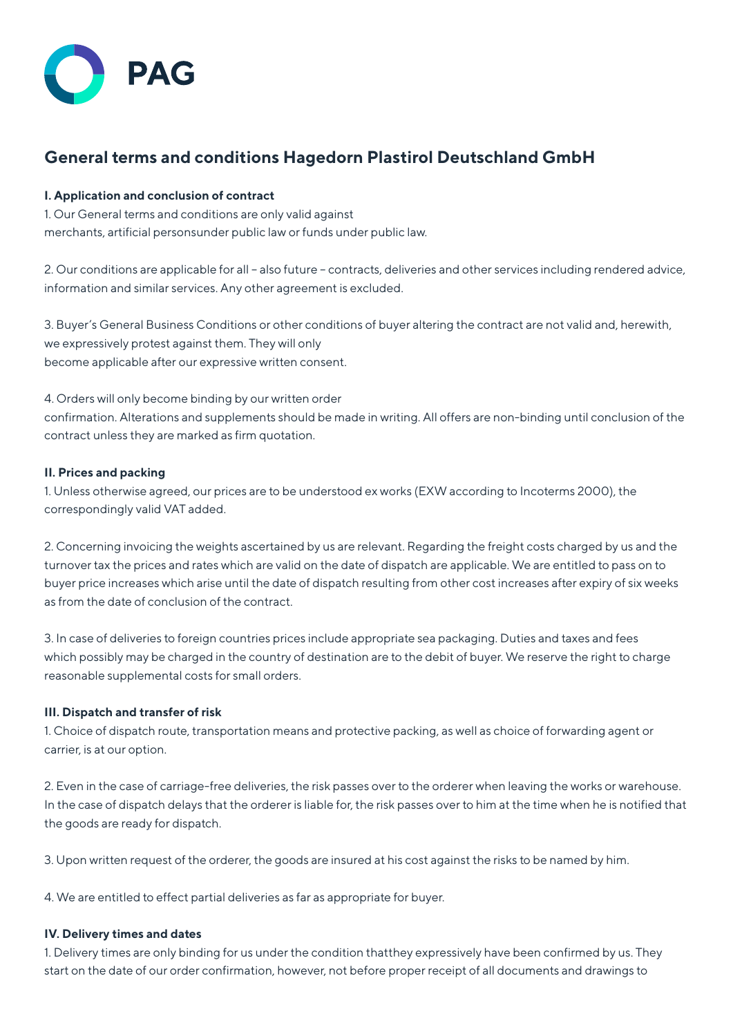

# **General terms and conditions Hagedorn Plastirol Deutschland GmbH**

## **I. Application and conclusion of contract**

1. Our General terms and conditions are only valid against merchants, artificial personsunder public law or funds under public law.

2. Our conditions are applicable for all – also future – contracts, deliveries and other services including rendered advice, information and similar services. Any other agreement is excluded.

3. Buyer's General Business Conditions or other conditions of buyer altering the contract are not valid and, herewith, we expressively protest against them. They will only become applicable after our expressive written consent.

4. Orders will only become binding by our written order confirmation. Alterations and supplements should be made in writing. All offers are non-binding until conclusion of the contract unless they are marked as firm quotation.

# **II. Prices and packing**

1. Unless otherwise agreed, our prices are to be understood ex works (EXW according to Incoterms 2000), the correspondingly valid VAT added.

2. Concerning invoicing the weights ascertained by us are relevant. Regarding the freight costs charged by us and the turnover tax the prices and rates which are valid on the date of dispatch are applicable. We are entitled to pass on to buyer price increases which arise until the date of dispatch resulting from other cost increases after expiry of six weeks as from the date of conclusion of the contract.

3. In case of deliveries to foreign countries prices include appropriate sea packaging. Duties and taxes and fees which possibly may be charged in the country of destination are to the debit of buyer. We reserve the right to charge reasonable supplemental costs for small orders.

## **III. Dispatch and transfer of risk**

1. Choice of dispatch route, transportation means and protective packing, as well as choice of forwarding agent or carrier, is at our option.

2. Even in the case of carriage-free deliveries, the risk passes over to the orderer when leaving the works or warehouse. In the case of dispatch delays that the orderer is liable for, the risk passes over to him at the time when he is notified that the goods are ready for dispatch.

3. Upon written request of the orderer, the goods are insured at his cost against the risks to be named by him.

4. We are entitled to effect partial deliveries as far as appropriate for buyer.

## **IV. Delivery times and dates**

1. Delivery times are only binding for us under the condition thatthey expressively have been confirmed by us. They start on the date of our order confirmation, however, not before proper receipt of all documents and drawings to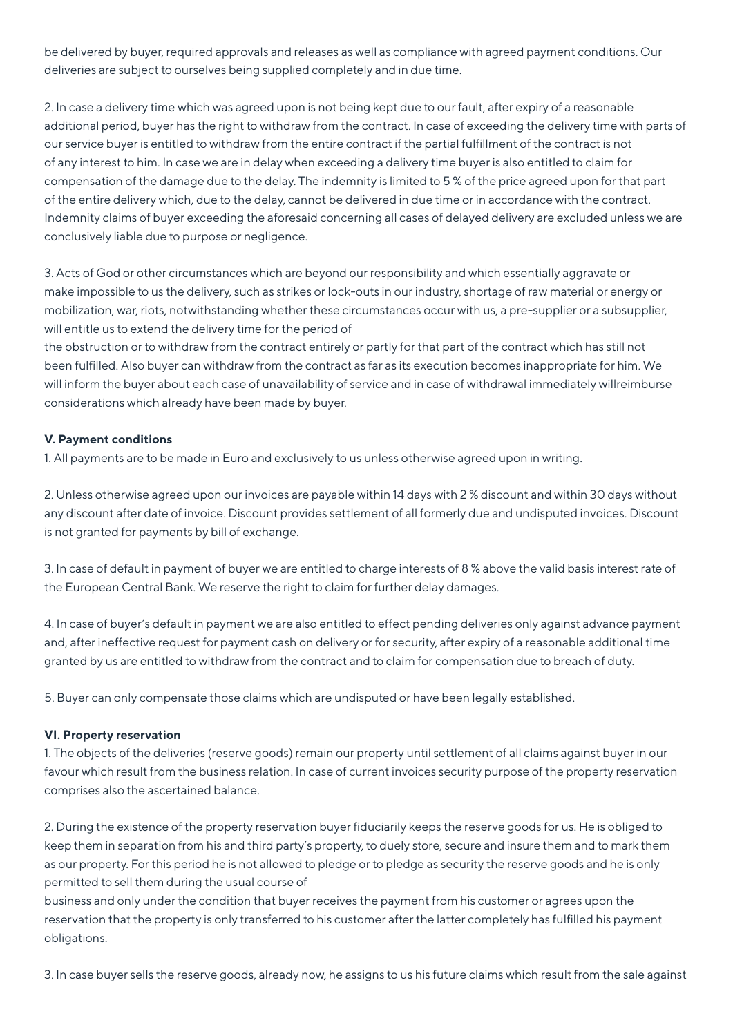be delivered by buyer, required approvals and releases as well as compliance with agreed payment conditions. Our deliveries are subject to ourselves being supplied completely and in due time.

2. In case a delivery time which was agreed upon is not being kept due to our fault, after expiry of a reasonable additional period, buyer has the right to withdraw from the contract. In case of exceeding the delivery time with parts of our service buyer is entitled to withdraw from the entire contract if the partial fulfillment of the contract is not of any interest to him. In case we are in delay when exceeding a delivery time buyer is also entitled to claim for compensation of the damage due to the delay. The indemnity is limited to 5 % of the price agreed upon for that part of the entire delivery which, due to the delay, cannot be delivered in due time or in accordance with the contract. Indemnity claims of buyer exceeding the aforesaid concerning all cases of delayed delivery are excluded unless we are conclusively liable due to purpose or negligence.

3. Acts of God or other circumstances which are beyond our responsibility and which essentially aggravate or make impossible to us the delivery, such as strikes or lock-outs in our industry, shortage of raw material or energy or mobilization, war, riots, notwithstanding whether these circumstances occur with us, a pre-supplier or a subsupplier, will entitle us to extend the delivery time for the period of

the obstruction or to withdraw from the contract entirely or partly for that part of the contract which has still not been fulfilled. Also buyer can withdraw from the contract as far as its execution becomes inappropriate for him. We will inform the buyer about each case of unavailability of service and in case of withdrawal immediately willreimburse considerations which already have been made by buyer.

## **V. Payment conditions**

1. All payments are to be made in Euro and exclusively to us unless otherwise agreed upon in writing.

2. Unless otherwise agreed upon our invoices are payable within 14 days with 2 % discount and within 30 days without any discount after date of invoice. Discount provides settlement of all formerly due and undisputed invoices. Discount is not granted for payments by bill of exchange.

3. In case of default in payment of buyer we are entitled to charge interests of 8 % above the valid basis interest rate of the European Central Bank. We reserve the right to claim for further delay damages.

4. In case of buyer's default in payment we are also entitled to effect pending deliveries only against advance payment and, after ineffective request for payment cash on delivery or for security, after expiry of a reasonable additional time granted by us are entitled to withdraw from the contract and to claim for compensation due to breach of duty.

5. Buyer can only compensate those claims which are undisputed or have been legally established.

## **VI. Property reservation**

1. The objects of the deliveries (reserve goods) remain our property until settlement of all claims against buyer in our favour which result from the business relation. In case of current invoices security purpose of the property reservation comprises also the ascertained balance.

2. During the existence of the property reservation buyer fiduciarily keeps the reserve goods for us. He is obliged to keep them in separation from his and third party's property, to duely store, secure and insure them and to mark them as our property. For this period he is not allowed to pledge or to pledge as security the reserve goods and he is only permitted to sell them during the usual course of

business and only under the condition that buyer receives the payment from his customer or agrees upon the reservation that the property is only transferred to his customer after the latter completely has fulfilled his payment obligations.

3. In case buyer sells the reserve goods, already now, he assigns to us his future claims which result from the sale against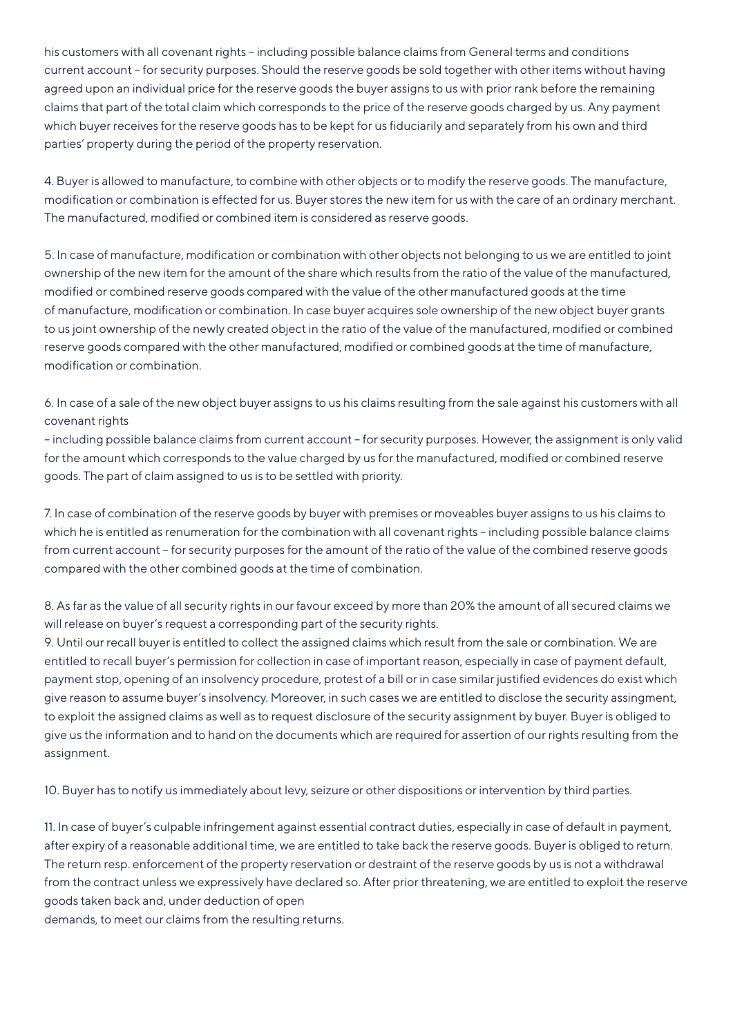his customers with all covenant rights – including possible balance claims from General terms and conditions current account – for security purposes. Should the reserve goods be sold together with other items without having agreed upon an individual price for the reserve goods the buyer assigns to us with prior rank before the remaining claims that part of the total claim which corresponds to the price of the reserve goods charged by us. Any payment which buyer receives for the reserve goods has to be kept for us fiduciarily and separately from his own and third parties' property during the period of the property reservation.

4. Buyer is allowed to manufacture, to combine with other objects or to modify the reserve goods. The manufacture, modification or combination is effected for us. Buyer stores the new item for us with the care of an ordinary merchant. The manufactured, modified or combined item is considered as reserve goods.

5. In case of manufacture, modification or combination with other objects not belonging to us we are entitled to joint ownership of the new item for the amount of the share which results from the ratio of the value of the manufactured, modified or combined reserve goods compared with the value of the other manufactured goods at the time of manufacture, modification or combination. In case buyer acquires sole ownership of the new object buyer grants to us joint ownership of the newly created object in the ratio of the value of the manufactured, modified or combined reserve goods compared with the other manufactured, modified or combined goods at the time of manufacture, modification or combination.

6. In case of a sale of the new object buyer assigns to us his claims resulting from the sale against his customers with all covenant rights

– including possible balance claims from current account – for security purposes. However, the assignment is only valid for the amount which corresponds to the value charged by us for the manufactured, modified or combined reserve goods. The part of claim assigned to us is to be settled with priority.

7. In case of combination of the reserve goods by buyer with premises or moveables buyer assigns to us his claims to which he is entitled as renumeration for the combination with all covenant rights - including possible balance claims from current account – for security purposes for the amount of the ratio of the value of the combined reserve goods compared with the other combined goods at the time of combination.

8. As far as the value of all security rights in our favour exceed by more than 20% the amount of all secured claims we will release on buyer's request a corresponding part of the security rights.

9. Until our recall buyer is entitled to collect the assigned claims which result from the sale or combination. We are entitled to recall buyer's permission for collection in case of important reason, especially in case of payment default, payment stop, opening of an insolvency procedure, protest of a bill or in case similar justified evidences do exist which give reason to assume buyer's insolvency. Moreover, in such cases we are entitled to disclose the security assingment, to exploit the assigned claims as well as to request disclosure of the security assignment by buyer. Buyer is obliged to give us the information and to hand on the documents which are required for assertion of our rights resulting from the assignment.

10. Buyer has to notify us immediately about levy, seizure or other dispositions or intervention by third parties.

11. In case of buyer's culpable infringement against essential contract duties, especially in case of default in payment, after expiry of a reasonable additional time, we are entitled to take back the reserve goods. Buyer is obliged to return. The return resp. enforcement of the property reservation or destraint of the reserve goods by us is not a withdrawal from the contract unless we expressively have declared so. After prior threatening, we are entitled to exploit the reserve goods taken back and, under deduction of open

demands, to meet our claims from the resulting returns.